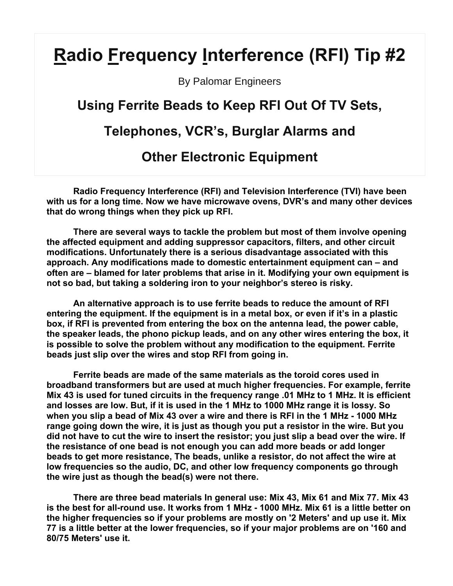# **Radio Frequency Interference (RFI) Tip #2**

By Palomar Engineers

## **Using Ferrite Beads to Keep RFI Out Of TV Sets,**

## **Telephones, VCR's, Burglar Alarms and**

### **Other Electronic Equipment**

**Radio Frequency Interference (RFI) and Television Interference (TVI) have been with us for a long time. Now we have microwave ovens, DVR's and many other devices that do wrong things when they pick up RFI.** 

 **There are several ways to tackle the problem but most of them involve opening the affected equipment and adding suppressor capacitors, filters, and other circuit modifications. Unfortunately there is a serious disadvantage associated with this approach. Any modifications made to domestic entertainment equipment can – and often are – blamed for later problems that arise in it. Modifying your own equipment is not so bad, but taking a soldering iron to your neighbor's stereo is risky.** 

 **An alternative approach is to use ferrite beads to reduce the amount of RFI entering the equipment. If the equipment is in a metal box, or even if it's in a plastic box, if RFI is prevented from entering the box on the antenna lead, the power cable, the speaker leads, the phono pickup leads, and on any other wires entering the box, it is possible to solve the problem without any modification to the equipment. Ferrite beads just slip over the wires and stop RFI from going in.** 

 **Ferrite beads are made of the same materials as the toroid cores used in broadband transformers but are used at much higher frequencies. For example, ferrite Mix 43 is used for tuned circuits in the frequency range .01 MHz to 1 MHz. It is efficient and losses are low. But, if it is used in the 1 MHz to 1000 MHz range it is lossy. So when you slip a bead of Mix 43 over a wire and there is RFI in the 1 MHz - 1000 MHz range going down the wire, it is just as though you put a resistor in the wire. But you did not have to cut the wire to insert the resistor; you just slip a bead over the wire. If the resistance of one bead is not enough you can add more beads or add longer beads to get more resistance, The beads, unlike a resistor, do not affect the wire at low frequencies so the audio, DC, and other low frequency components go through the wire just as though the bead(s) were not there.** 

 **There are three bead materials In general use: Mix 43, Mix 61 and Mix 77. Mix 43 is the best for all-round use. It works from 1 MHz - 1000 MHz. Mix 61 is a little better on the higher frequencies so if your problems are mostly on '2 Meters' and up use it. Mix 77 is a little better at the lower frequencies, so if your major problems are on '160 and 80/75 Meters' use it.**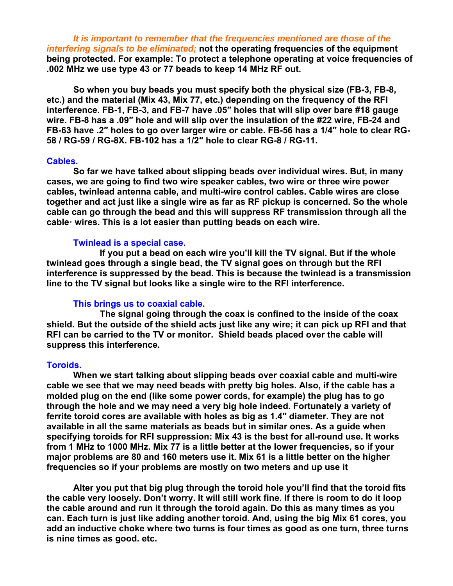*It is important to remember that the frequencies mentioned are those of the interfering signals to be eliminated;* **not the operating frequencies of the equipment being protected. For example: To protect a telephone operating at voice frequencies of .002 MHz we use type 43 or 77 beads to keep 14 MHz RF out.** 

 **So when you buy beads you must specify both the physical size (FB-3, FB-8, etc.) and the material (Mix 43, Mix 77, etc.) depending on the frequency of the RFI interference. FB-1, FB-3, and FB-7 have .05″ holes that will slip over bare #18 gauge wire. FB-8 has a .09″ hole and will slip over the insulation of the #22 wire, FB-24 and FB-63 have .2″ holes to go over larger wire or cable. FB-56 has a 1/4″ hole to clear RG-58 / RG-59 / RG-8X. FB-102 has a 1/2″ hole to clear RG-8 / RG-11.** 

#### **Cables.**

 **So far we have talked about slipping beads over individual wires. But, in many cases, we are going to find two wire speaker cables, two wire or three wire power cables, twinlead antenna cable, and multi-wire control cables. Cable wires are close together and act just like a single wire as far as RF pickup is concerned. So the whole cable can go through the bead and this will suppress RF transmission through all the cable· wires. This is a lot easier than putting beads on each wire.** 

#### **Twinlead is a special case.**

 **If you put a bead on each wire you'll kill the TV signal. But if the whole twinlead goes through a single bead, the TV signal goes on through but the RFI interference is suppressed by the bead. This is because the twinlead is a transmission line to the TV signal but looks like a single wire to the RFI interference.** 

#### **This brings us to coaxial cable.**

 **The signal going through the coax is confined to the inside of the coax shield. But the outside of the shield acts just like any wire; it can pick up RFI and that RFI can be carried to the TV or monitor. Shield beads placed over the cable will suppress this interference.** 

#### **Toroids.**

 **When we start talking about slipping beads over coaxial cable and multi-wire cable we see that we may need beads with pretty big holes. Also, if the cable has a molded plug on the end (like some power cords, for example) the plug has to go through the hole and we may need a very big hole indeed. Fortunately a variety of ferrite toroid cores are available with holes as big as 1.4″ diameter. They are not available in all the same materials as beads but in similar ones. As a guide when specifying toroids for RFI suppression: Mix 43 is the best for all-round use. It works from 1 MHz to 1000 MHz. Mix 77 is a little better at the lower frequencies, so if your major problems are 80 and 160 meters use it. Mix 61 is a little better on the higher frequencies so if your problems are mostly on two meters and up use it** 

 **Alter you put that big plug through the toroid hole you'll find that the toroid fits the cable very loosely. Don't worry. It will still work fine. If there is room to do it loop the cable around and run it through the toroid again. Do this as many times as you can. Each turn is just like adding another toroid. And, using the big Mix 61 cores, you add an inductive choke where two turns is four times as good as one turn, three turns is nine times as good. etc.**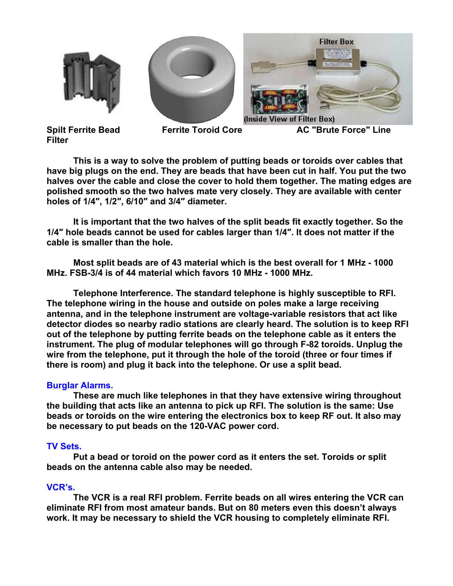





**Filter** 

 **This is a way to solve the problem of putting beads or toroids over cables that have big plugs on the end. They are beads that have been cut in half. You put the two halves over the cable and close the cover to hold them together. The mating edges are polished smooth so the two halves mate very closely. They are available with center holes of 1/4″, 1/2″, 6/10″ and 3/4″ diameter.** 

 **It is important that the two halves of the split beads fit exactly together. So the 1/4″ hole beads cannot be used for cables larger than 1/4″. It does not matter if the cable is smaller than the hole.** 

 **Most split beads are of 43 material which is the best overall for 1 MHz - 1000 MHz. FSB-3/4 is of 44 material which favors 10 MHz - 1000 MHz.** 

 **Telephone Interference. The standard telephone is highly susceptible to RFI. The telephone wiring in the house and outside on poles make a large receiving antenna, and in the telephone instrument are voltage-variable resistors that act like detector diodes so nearby radio stations are clearly heard. The solution is to keep RFI out of the telephone by putting ferrite beads on the telephone cable as it enters the instrument. The plug of modular telephones will go through F-82 toroids. Unplug the wire from the telephone, put it through the hole of the toroid (three or four times if there is room) and plug it back into the telephone. Or use a split bead.** 

#### **Burglar Alarms.**

 **These are much like telephones in that they have extensive wiring throughout the building that acts like an antenna to pick up RFI. The solution is the same: Use beads or toroids on the wire entering the electronics box to keep RF out. It also may be necessary to put beads on the 120-VAC power cord.** 

#### **TV Sets.**

 **Put a bead or toroid on the power cord as it enters the set. Toroids or split beads on the antenna cable also may be needed.** 

#### **VCR's.**

 **The VCR is a real RFI problem. Ferrite beads on all wires entering the VCR can eliminate RFI from most amateur bands. But on 80 meters even this doesn't always work. It may be necessary to shield the VCR housing to completely eliminate RFI.**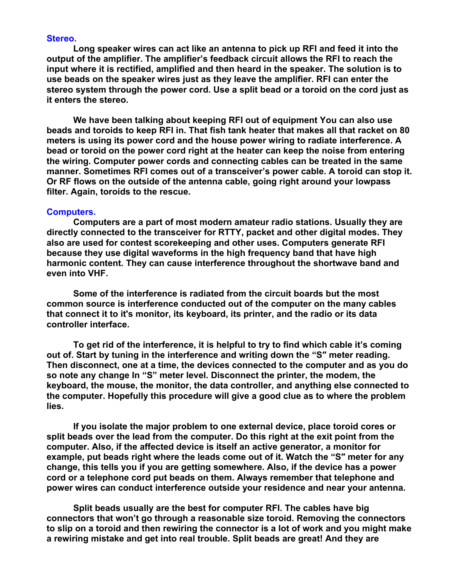#### **Stereo.**

 **Long speaker wires can act like an antenna to pick up RFI and feed it into the output of the amplifier. The amplifier's feedback circuit allows the RFI to reach the input where it is rectified, amplified and then heard in the speaker. The solution is to use beads on the speaker wires just as they leave the amplifier. RFI can enter the stereo system through the power cord. Use a split bead or a toroid on the cord just as it enters the stereo.** 

 **We have been talking about keeping RFI out of equipment You can also use beads and toroids to keep RFI in. That fish tank heater that makes all that racket on 80 meters is using its power cord and the house power wiring to radiate interference. A bead or toroid on the power cord right at the heater can keep the noise from entering the wiring. Computer power cords and connecting cables can be treated in the same manner. Sometimes RFI comes out of a transceiver's power cable. A toroid can stop it. Or RF flows on the outside of the antenna cable, going right around your lowpass filter. Again, toroids to the rescue.** 

#### **Computers.**

 **Computers are a part of most modern amateur radio stations. Usually they are directly connected to the transceiver for RTTY, packet and other digital modes. They also are used for contest scorekeeping and other uses. Computers generate RFI because they use digital waveforms in the high frequency band that have high harmonic content. They can cause interference throughout the shortwave band and even into VHF.** 

 **Some of the interference is radiated from the circuit boards but the most common source is interference conducted out of the computer on the many cables that connect it to it's monitor, its keyboard, its printer, and the radio or its data controller interface.** 

 **To get rid of the interference, it is helpful to try to find which cable it's coming out of. Start by tuning in the interference and writing down the "S″ meter reading. Then disconnect, one at a time, the devices connected to the computer and as you do so note any change In "S" meter level. Disconnect the printer, the modem, the keyboard, the mouse, the monitor, the data controller, and anything else connected to the computer. Hopefully this procedure will give a good clue as to where the problem lies.** 

 **If you isolate the major problem to one external device, place toroid cores or split beads over the lead from the computer. Do this right at the exit point from the computer. Also, if the affected device is itself an active generator, a monitor for example, put beads right where the leads come out of it. Watch the "S″ meter for any change, this tells you if you are getting somewhere. Also, if the device has a power cord or a telephone cord put beads on them. Always remember that telephone and power wires can conduct interference outside your residence and near your antenna.** 

 **Split beads usually are the best for computer RFI. The cables have big connectors that won't go through a reasonable size toroid. Removing the connectors to slip on a toroid and then rewiring the connector is a lot of work and you might make a rewiring mistake and get into real trouble. Split beads are great! And they are**